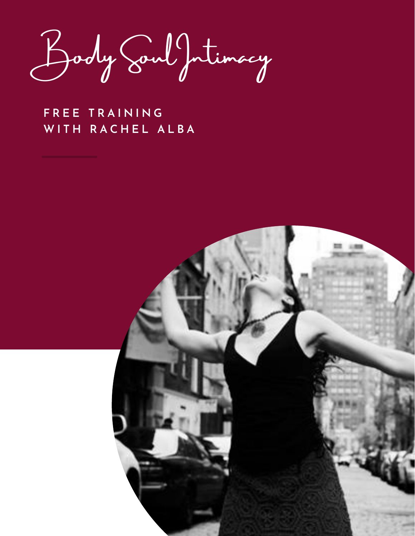Body Soul Intimacy

**F R E E T R A I N I N G W I T H R A C H E L A L B A**

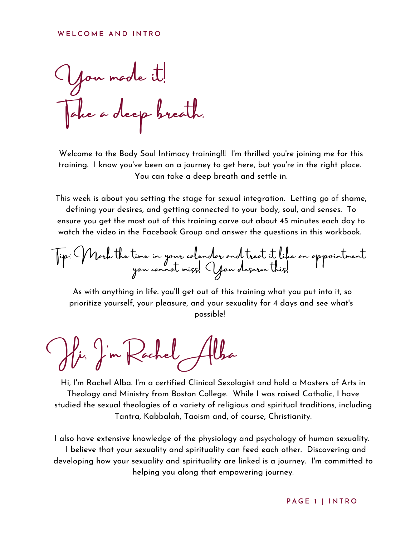#### **W E L C O M E A N D I N T R O**

You made it! Take a deep breath.

Welcome to the Body Soul Intimacy training!!! I'm thrilled you're joining me for this training. I know you've been on a journey to get here, but you're in the right place. You can take a deep breath and settle in.

This week is about you setting the stage for sexual integration. Letting go of shame, defining your desires, and getting connected to your body, soul, and senses. To ensure you get the most out of this training carve out about 45 minutes each day to watch the video in the Facebook Group and answer the questions in this workbook.

Tip: Mark the time in your calendar and treat it like an appointment you cannot miss! You deserve this!

As with anything in life. you'll get out of this training what you put into it, so prioritize yourself, your pleasure, and your sexuality for 4 days and see what's possible!

Hi, I'm Rachel Alba

Hi, I'm Rachel Alba. I'm a certified Clinical Sexologist and hold a Masters of Arts in Theology and Ministry from Boston College. While I was raised Catholic, I have studied the sexual theologies of a variety of religious and spiritual traditions, including Tantra, Kabbalah, Taoism and, of course, Christianity.

I also have extensive knowledge of the physiology and psychology of human sexuality. I believe that your sexuality and spirituality can feed each other. Discovering and developing how your sexuality and spirituality are linked is a journey. I'm committed to helping you along that empowering journey.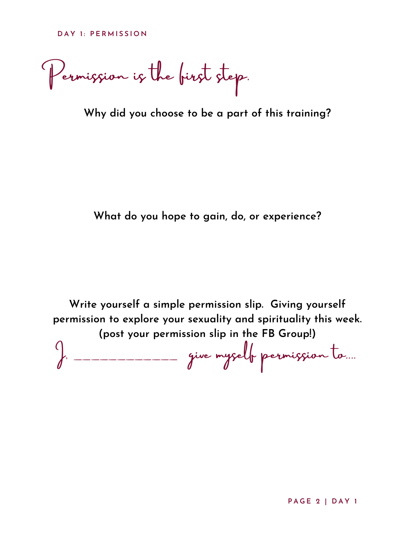Permission is the first step.

**Why did you choose to be a part of this training?**

**What do you hope to gain, do, or experience?**

**Write yourself a simple permission slip. Giving yourself permission to explore your sexuality and spirituality this week. (post your permission slip in the FB Group!)**

I, \_\_\_\_\_\_\_\_\_\_\_\_ give myself permission to....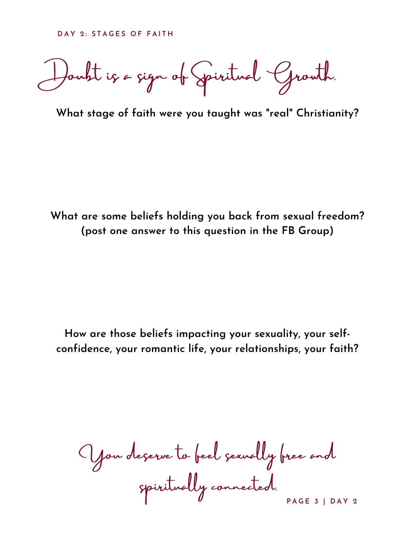Doubt is a sign of Spiritual Growth.

**What stage of faith were you taught was "real" Christianity?**

**What are some beliefs holding you back from sexual freedom? (post one answer to this question in the FB Group)**

**How are those beliefs impacting your sexuality, your selfconfidence, your romantic life, your relationships, your faith?**

**P A G E 3 | D A Y 2** You deserve to feel sexually free and spiritually connected.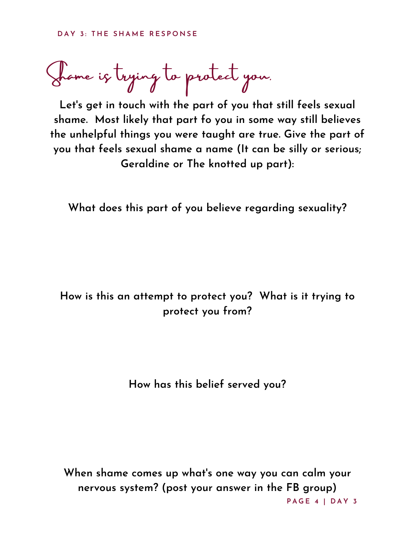Shame is trying to protect you.

**Let's get in touch with the part of you that still feels sexual shame. Most likely that part fo you in some way still believes the unhelpful things you were taught are true. Give the part of you that feels sexual shame a name (It can be silly or serious; Geraldine or The knotted up part):**

**What does this part of you believe regarding sexuality?**

# **How is this an attempt to protect you? What is it trying to protect you from?**

**How has this belief served you?**

**P A G E 4 | D A Y 3 When shame comes up what's one way you can calm your nervous system? (post your answer in the FB group)**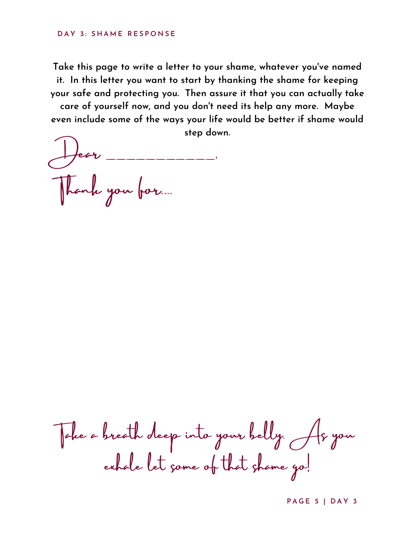### **D A Y 3 : S H A M E R E S P O N S E**

**Take this page to write a letter to your shame, whatever you've named it. In this letter you want to start by thanking the shame for keeping your safe and protecting you. Then assure it that you can actually take care of yourself now, and you don't need its help any more. Maybe even include some of the ways your life would be better if shame would**

**step down.**

 $\overline{\phantom{a}}$ Thank you for....

Take a breath deep into your belly. As you exhale let some of that shame go!

**P A G E 5 | D A Y 3**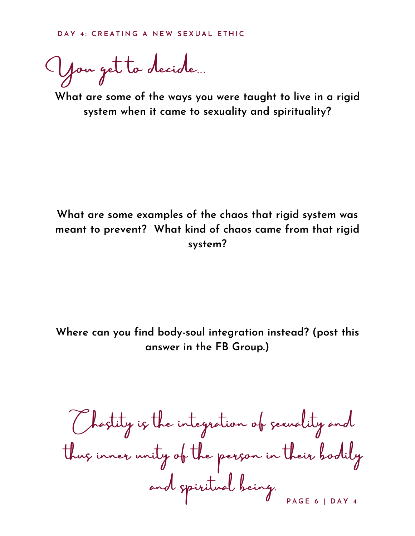You get to decide...

**What are some of the ways you were taught to live in a rigid system when it came to sexuality and spirituality?**

## **What are some examples of the chaos that rigid system was meant to prevent? What kind of chaos came from that rigid system?**

**Where can you find body-soul integration instead? (post this answer in the FB Group.)**

**P A G E 6 | D A Y 4** Chastity is the integration of sexuality and thus inner unity of the person in their bodily and spiritual being.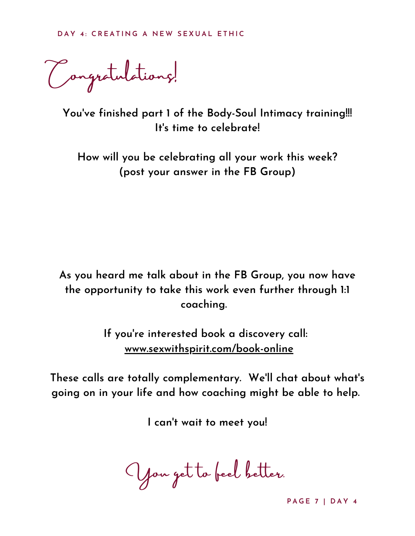Congratulations!

**You've finished part 1 of the Body-Soul Intimacy training!!! It's time to celebrate!**

**How will you be celebrating all your work this week? (post your answer in the FB Group)**

**As you heard me talk about in the FB Group, you now have the opportunity to take this work even further through 1:1 coaching.**

> **If you're interested book a discovery call: [www.sexwithspirit.com/book-online](http://www.sexwithspirit.com/book-online)**

**These calls are totally complementary. We'll chat about what's going on in your life and how coaching might be able to help.**

**I can't wait to meet you!**

You get to feel better.

**P A G E 7 | D A Y 4**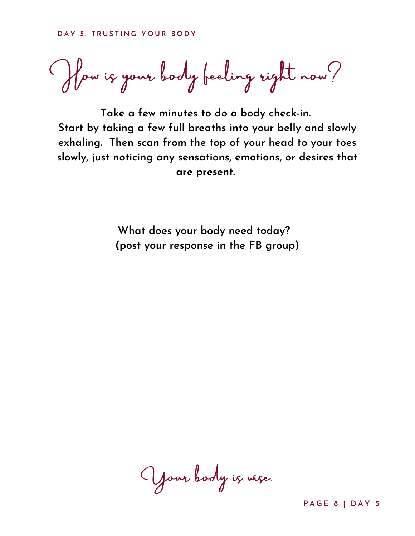How is your body feeling right now?

**Take a few minutes to do a body check-in. Start by taking a few full breaths into your belly and slowly exhaling. Then scan from the top of your head to your toes slowly, just noticing any sensations, emotions, or desires that are present.**

**What does your body need today? (post your response in the FB group)**

Your body is wise.

**P A G E 8 | D A Y 5**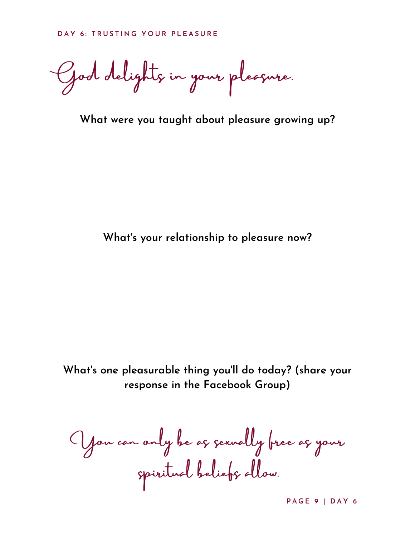God delights in your pleasure.

**What were you taught about pleasure growing up?**

**What's your relationship to pleasure now?**

**What's one pleasurable thing you'll do today? (share your response in the Facebook Group)**

You can only be as sexually free as your spiritual beliefs allow.

**P A G E 9 | D A Y 6**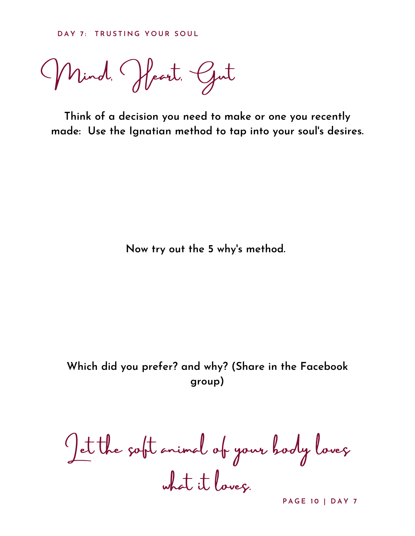**D A Y 7 : T R U S T I N G Y O U R S O U L**

Mind, Heart, Gut

**Think of a decision you need to make or one you recently made: Use the Ignatian method to tap into your soul's desires.**

**Now try out the 5 why's method.**

**Which did you prefer? and why? (Share in the Facebook group)**

Let the soft animal of your body loves what it loves.

**P A G E 1 0 | D A Y 7**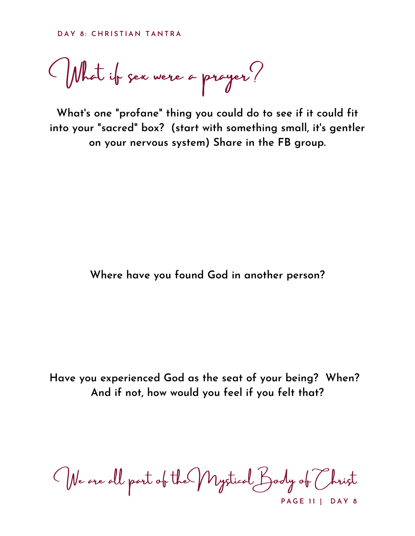What if sex were a prayer?

**What's one "profane" thing you could do to see if it could fit into your "sacred" box? (start with something small, it's gentler on your nervous system) Share in the FB group.**

### **Where have you found God in another person?**

**Have you experienced God as the seat of your being? When? And if not, how would you feel if you felt that?**

**P A G E 1 1 | D A Y 8** We are all part of the Mystical Body of Christ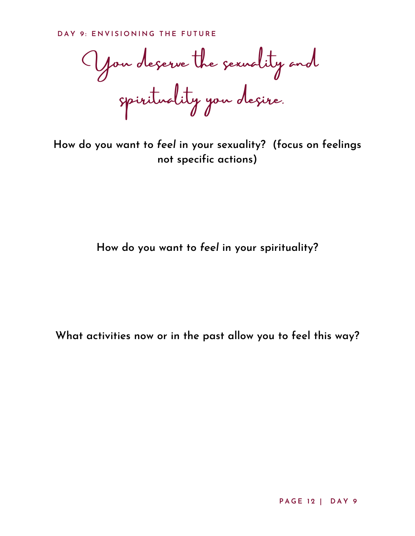You deserve the sexuality and spirituality you desire.

**How do you want to** *feel* **in your sexuality? (focus on feelings not specific actions)**

**How do you want to** *feel* **in your spirituality?**

**What activities now or in the past allow you to feel this way?**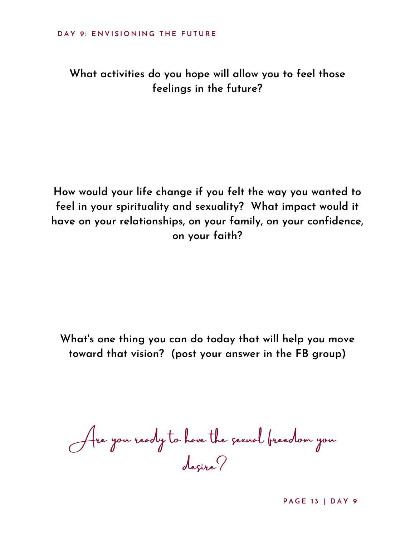**What activities do you hope will allow you to feel those feelings in the future?**

**How would your life change if you felt the way you wanted to feel in your spirituality and sexuality? What impact would it have on your relationships, on your family, on your confidence, on your faith?**

**What's one thing you can do today that will help you move toward that vision? (post your answer in the FB group)**

Are you ready to have the sexual freedom you desire?